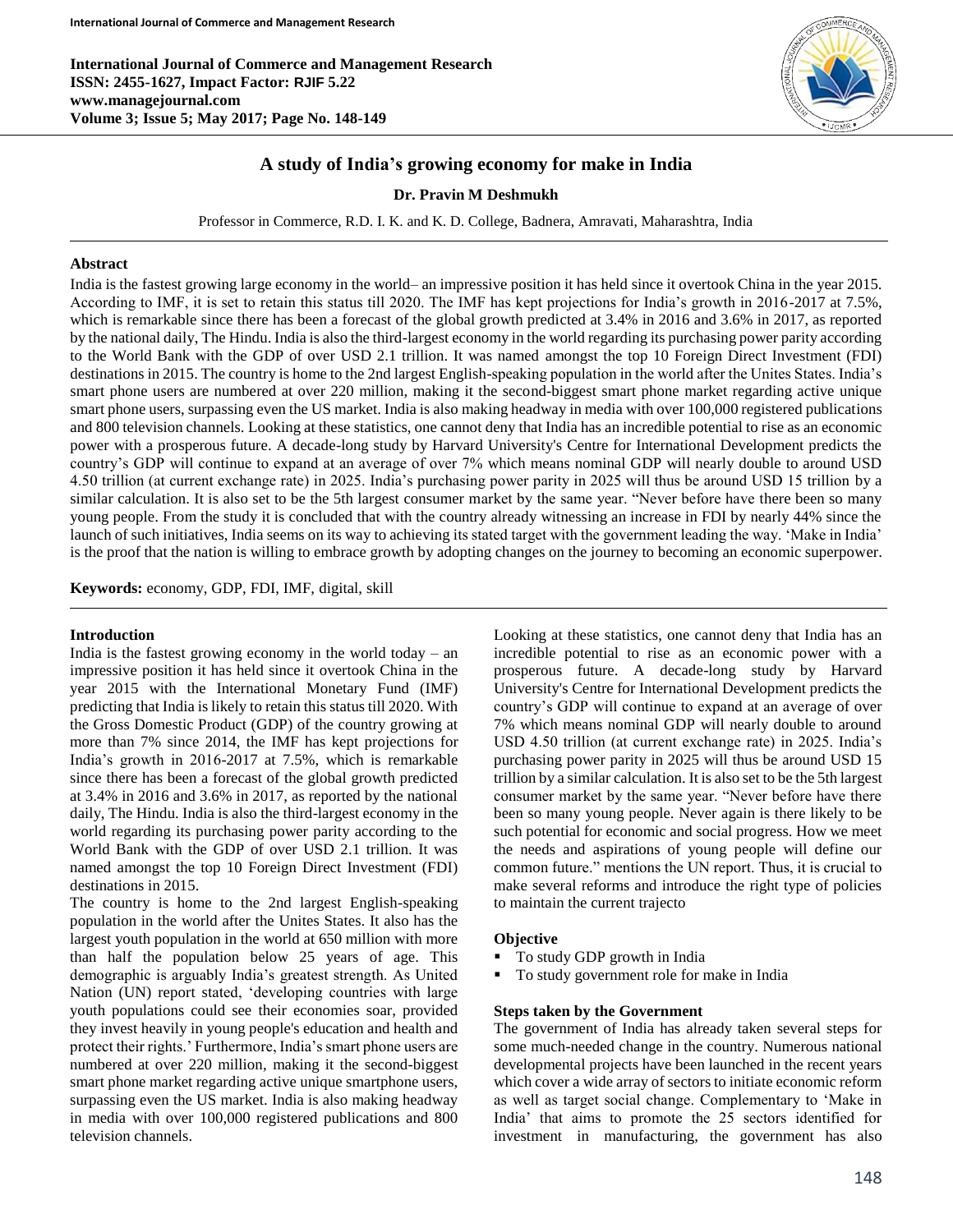**International Journal of Commerce and Management Research ISSN: 2455-1627, Impact Factor: RJIF 5.22 www.managejournal.com Volume 3; Issue 5; May 2017; Page No. 148-149**



# **A study of India's growing economy for make in India**

### **Dr. Pravin M Deshmukh**

Professor in Commerce, R.D. I. K. and K. D. College, Badnera, Amravati, Maharashtra, India

## **Abstract**

India is the fastest growing large economy in the world– an impressive position it has held since it overtook China in the year 2015. According to IMF, it is set to retain this status till 2020. The IMF has kept projections for India's growth in 2016-2017 at 7.5%, which is remarkable since there has been a forecast of the global growth predicted at 3.4% in 2016 and 3.6% in 2017, as reported by the national daily, The Hindu. India is also the third-largest economy in the world regarding its purchasing power parity according to the World Bank with the GDP of over USD 2.1 trillion. It was named amongst the top 10 Foreign Direct Investment (FDI) destinations in 2015. The country is home to the 2nd largest English-speaking population in the world after the Unites States. India's smart phone users are numbered at over 220 million, making it the second-biggest smart phone market regarding active unique smart phone users, surpassing even the US market. India is also making headway in media with over 100,000 registered publications and 800 television channels. Looking at these statistics, one cannot deny that India has an incredible potential to rise as an economic power with a prosperous future. A decade-long study by Harvard University's Centre for International Development predicts the country's GDP will continue to expand at an average of over 7% which means nominal GDP will nearly double to around USD 4.50 trillion (at current exchange rate) in 2025. India's purchasing power parity in 2025 will thus be around USD 15 trillion by a similar calculation. It is also set to be the 5th largest consumer market by the same year. "Never before have there been so many young people. From the study it is concluded that with the country already witnessing an increase in FDI by nearly 44% since the launch of such initiatives, India seems on its way to achieving its stated target with the government leading the way. 'Make in India' is the proof that the nation is willing to embrace growth by adopting changes on the journey to becoming an economic superpower.

**Keywords:** economy, GDP, FDI, IMF, digital, skill

#### **Introduction**

India is the fastest growing economy in the world today – an impressive position it has held since it overtook China in the year 2015 with the International Monetary Fund (IMF) predicting that India is likely to retain this status till 2020. With the Gross Domestic Product (GDP) of the country growing at more than 7% since 2014, the IMF has kept projections for India's growth in 2016-2017 at 7.5%, which is remarkable since there has been a forecast of the global growth predicted at 3.4% in 2016 and 3.6% in 2017, as reported by the national daily, The Hindu. India is also the third-largest economy in the world regarding its purchasing power parity according to the World Bank with the GDP of over USD 2.1 trillion. It was named amongst the top 10 Foreign Direct Investment (FDI) destinations in 2015.

The country is home to the 2nd largest English-speaking population in the world after the Unites States. It also has the largest youth population in the world at 650 million with more than half the population below 25 years of age. This demographic is arguably India's greatest strength. As United Nation (UN) report stated, 'developing countries with large youth populations could see their economies soar, provided they invest heavily in young people's education and health and protect their rights.' Furthermore, India's smart phone users are numbered at over 220 million, making it the second-biggest smart phone market regarding active unique smartphone users, surpassing even the US market. India is also making headway in media with over 100,000 registered publications and 800 television channels.

Looking at these statistics, one cannot deny that India has an incredible potential to rise as an economic power with a prosperous future. A decade-long study by Harvard University's Centre for International Development predicts the country's GDP will continue to expand at an average of over 7% which means nominal GDP will nearly double to around USD 4.50 trillion (at current exchange rate) in 2025. India's purchasing power parity in 2025 will thus be around USD 15 trillion by a similar calculation. It is also set to be the 5th largest consumer market by the same year. "Never before have there been so many young people. Never again is there likely to be such potential for economic and social progress. How we meet the needs and aspirations of young people will define our common future." mentions the UN report. Thus, it is crucial to make several reforms and introduce the right type of policies to maintain the current trajecto

#### **Objective**

- To study GDP growth in India
- To study government role for make in India

## **Steps taken by the Government**

The government of India has already taken several steps for some much-needed change in the country. Numerous national developmental projects have been launched in the recent years which cover a wide array of sectors to initiate economic reform as well as target social change. Complementary to 'Make in India' that aims to promote the 25 sectors identified for investment in manufacturing, the government has also